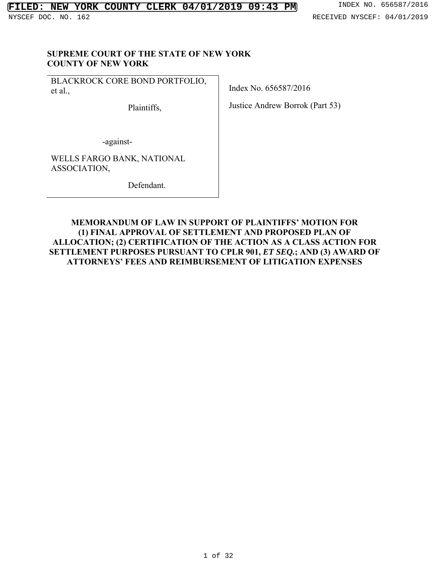#### **SUPREME COURT OF THE STATE OF NEW YORK COUNTY OF NEW YORK**

BLACKROCK CORE BOND PORTFOLIO, et al*.*,

Plaintiffs,

Index No. 656587/2016

Justice Andrew Borrok (Part 53)

-against-

WELLS FARGO BANK, NATIONAL ASSOCIATION,

Defendant.

### **MEMORANDUM OF LAW IN SUPPORT OF PLAINTIFFS' MOTION FOR (1) FINAL APPROVAL OF SETTLEMENT AND PROPOSED PLAN OF ALLOCATION; (2) CERTIFICATION OF THE ACTION AS A CLASS ACTION FOR SETTLEMENT PURPOSES PURSUANT TO CPLR 901,** *ET SEQ.***; AND (3) AWARD OF ATTORNEYS' FEES AND REIMBURSEMENT OF LITIGATION EXPENSES**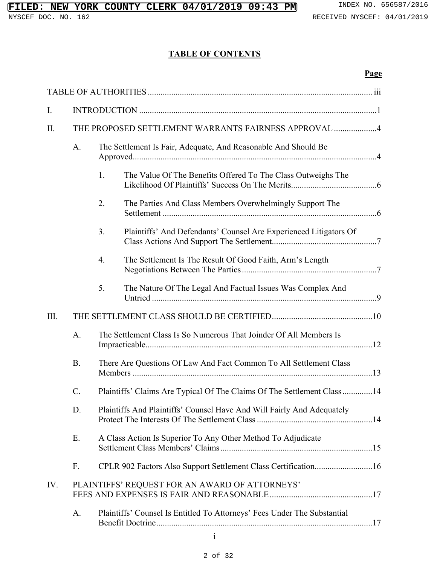## **TABLE OF CONTENTS**

### **Page**

| I.           |                                                                                  |                                                                              |  |  |  |  |
|--------------|----------------------------------------------------------------------------------|------------------------------------------------------------------------------|--|--|--|--|
| II.          | THE PROPOSED SETTLEMENT WARRANTS FAIRNESS APPROVAL 4                             |                                                                              |  |  |  |  |
|              | The Settlement Is Fair, Adequate, And Reasonable And Should Be<br>A.             |                                                                              |  |  |  |  |
|              |                                                                                  | 1.<br>The Value Of The Benefits Offered To The Class Outweighs The           |  |  |  |  |
|              |                                                                                  | 2.<br>The Parties And Class Members Overwhelmingly Support The               |  |  |  |  |
|              |                                                                                  | 3.<br>Plaintiffs' And Defendants' Counsel Are Experienced Litigators Of      |  |  |  |  |
|              |                                                                                  | $\overline{4}$ .<br>The Settlement Is The Result Of Good Faith, Arm's Length |  |  |  |  |
|              |                                                                                  | 5.<br>The Nature Of The Legal And Factual Issues Was Complex And             |  |  |  |  |
| III.         |                                                                                  |                                                                              |  |  |  |  |
|              | The Settlement Class Is So Numerous That Joinder Of All Members Is<br>A.         |                                                                              |  |  |  |  |
|              | There Are Questions Of Law And Fact Common To All Settlement Class<br><b>B.</b>  |                                                                              |  |  |  |  |
|              | Plaintiffs' Claims Are Typical Of The Claims Of The Settlement Class 14<br>$C$ . |                                                                              |  |  |  |  |
|              | Plaintiffs And Plaintiffs' Counsel Have And Will Fairly And Adequately<br>D.     |                                                                              |  |  |  |  |
|              | A Class Action Is Superior To Any Other Method To Adjudicate<br>Ε.               |                                                                              |  |  |  |  |
|              | F.                                                                               | CPLR 902 Factors Also Support Settlement Class Certification16               |  |  |  |  |
| IV.          | PLAINTIFFS' REQUEST FOR AN AWARD OF ATTORNEYS'                                   |                                                                              |  |  |  |  |
|              | Plaintiffs' Counsel Is Entitled To Attorneys' Fees Under The Substantial<br>А.   |                                                                              |  |  |  |  |
| $\mathbf{i}$ |                                                                                  |                                                                              |  |  |  |  |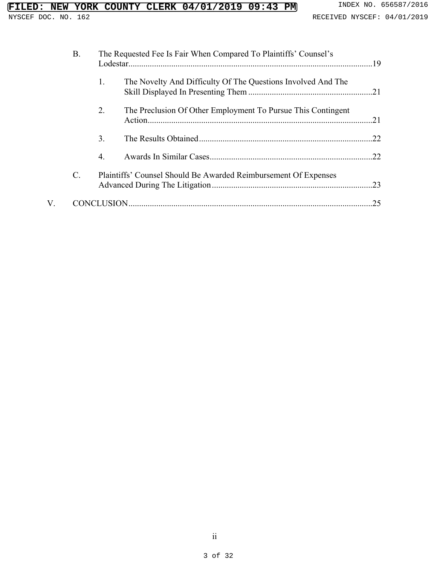## **FILED: NEW YORK COUNTY CLERK 04/01/2019 09:43 PM** INDEX NO. 656587/2016<br>NYSCEF DOC. NO. 162<br>RECEIVED NYSCEF: 04/01/2019

|    | <b>B.</b>      |    | The Requested Fee Is Fair When Compared To Plaintiffs' Counsel's |     |  |  |
|----|----------------|----|------------------------------------------------------------------|-----|--|--|
|    |                | 1. | The Novelty And Difficulty Of The Questions Involved And The     |     |  |  |
|    |                | 2. | The Preclusion Of Other Employment To Pursue This Contingent     |     |  |  |
|    |                | 3. |                                                                  |     |  |  |
|    |                | 4. |                                                                  |     |  |  |
|    | $\mathbf{C}$ . |    | Plaintiffs' Counsel Should Be Awarded Reimbursement Of Expenses  |     |  |  |
| V. |                |    |                                                                  | .25 |  |  |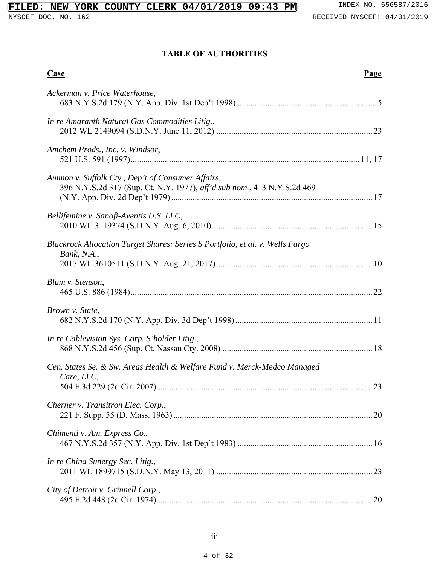## **TABLE OF AUTHORITIES**

| <b>Case</b><br>Page                                                                                                          |
|------------------------------------------------------------------------------------------------------------------------------|
| Ackerman v. Price Waterhouse,                                                                                                |
| In re Amaranth Natural Gas Commodities Litig.,                                                                               |
| Amchem Prods., Inc. v. Windsor,                                                                                              |
| Ammon v. Suffolk Cty., Dep't of Consumer Affairs,<br>396 N.Y.S.2d 317 (Sup. Ct. N.Y. 1977), aff'd sub nom., 413 N.Y.S.2d 469 |
| Bellifemine v. Sanofi-Aventis U.S. LLC,                                                                                      |
| Blackrock Allocation Target Shares: Series S Portfolio, et al. v. Wells Fargo<br>Bank, N.A.,                                 |
| Blum v. Stenson,                                                                                                             |
| Brown v. State,                                                                                                              |
| In re Cablevision Sys. Corp. S'holder Litig.,                                                                                |
| Cen. States Se. & Sw. Areas Health & Welfare Fund v. Merck-Medco Managed<br>Care, LLC,<br>23                                 |
| Cherner v. Transitron Elec. Corp.,                                                                                           |
| Chimenti v. Am. Express Co.,                                                                                                 |
| In re China Sunergy Sec. Litig.,                                                                                             |
| City of Detroit v. Grinnell Corp.,                                                                                           |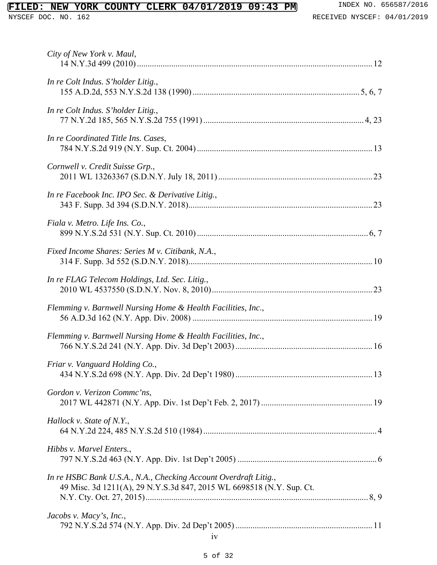## **FILED: NEW YORK COUNTY CLERK 04/01/2019 09:43 PM** INDEX NO. 656587/2016<br>NYSCEF DOC. NO. 162<br>RECEIVED NYSCEF: 04/01/2019

| City of New York v. Maul,                                                                                                                |
|------------------------------------------------------------------------------------------------------------------------------------------|
| In re Colt Indus. S'holder Litig.,                                                                                                       |
| In re Colt Indus. S'holder Litig.,                                                                                                       |
| In re Coordinated Title Ins. Cases,                                                                                                      |
| Cornwell v. Credit Suisse Grp.,                                                                                                          |
| In re Facebook Inc. IPO Sec. & Derivative Litig.,                                                                                        |
| Fiala v. Metro. Life Ins. Co.,                                                                                                           |
| Fixed Income Shares: Series M v. Citibank, N.A.,                                                                                         |
| In re FLAG Telecom Holdings, Ltd. Sec. Litig.,                                                                                           |
| Flemming v. Barnwell Nursing Home & Health Facilities, Inc.,                                                                             |
| Flemming v. Barnwell Nursing Home & Health Facilities, Inc.,                                                                             |
| Friar v. Vanguard Holding Co.,                                                                                                           |
| Gordon v. Verizon Commc'ns,                                                                                                              |
| Hallock v. State of N.Y.,                                                                                                                |
| Hibbs v. Marvel Enters.,                                                                                                                 |
| In re HSBC Bank U.S.A., N.A., Checking Account Overdraft Litig.,<br>49 Misc. 3d 1211(A), 29 N.Y.S.3d 847, 2015 WL 6698518 (N.Y. Sup. Ct. |
| Jacobs v. Macy's, Inc.,<br>iv                                                                                                            |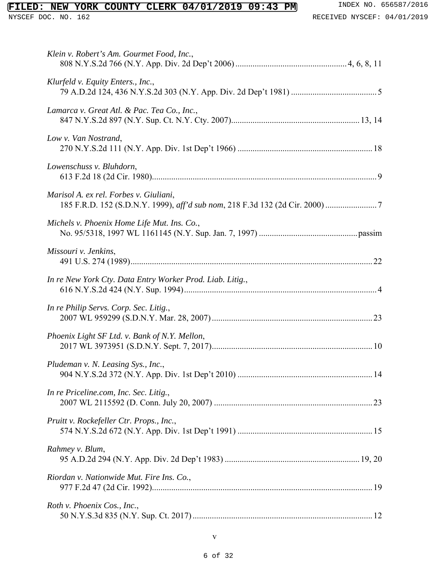## **FILED: NEW YORK COUNTY CLERK 04/01/2019 09:43 PM** INDEX NO. 656587/2016<br>NYSCEF DOC. NO. 162<br>RECEIVED NYSCEF: 04/01/2019

| Klein v. Robert's Am. Gourmet Food, Inc.,                 |
|-----------------------------------------------------------|
| Klurfeld v. Equity Enters., Inc.,                         |
| Lamarca v. Great Atl. & Pac. Tea Co., Inc.,               |
| Low v. Van Nostrand,                                      |
| Lowenschuss v. Bluhdorn,                                  |
| Marisol A. ex rel. Forbes v. Giuliani,                    |
| Michels v. Phoenix Home Life Mut. Ins. Co.,               |
| Missouri v. Jenkins,                                      |
| In re New York Cty. Data Entry Worker Prod. Liab. Litig., |
| In re Philip Servs. Corp. Sec. Litig.,                    |
| Phoenix Light SF Ltd. v. Bank of N.Y. Mellon,             |
| Pludeman v. N. Leasing Sys., Inc.                         |
| In re Priceline.com, Inc. Sec. Litig.,                    |
| Pruitt v. Rockefeller Ctr. Props., Inc.,                  |
| Rahmey v. Blum,                                           |
| Riordan v. Nationwide Mut. Fire Ins. Co.,                 |
| Roth v. Phoenix Cos., Inc.,                               |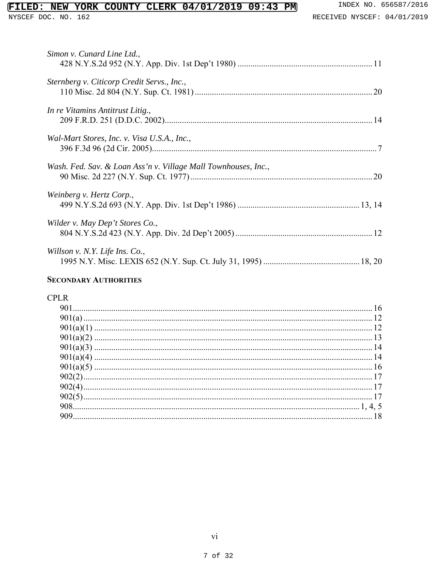# FILED: NEW YORK COUNTY CLERK 04/01/2019 09:43 PM INDEX NO. 656587/2016<br>NYSCEF DOC. NO. 162

| Simon v. Cunard Line Ltd.,                                     |
|----------------------------------------------------------------|
| Sternberg v. Citicorp Credit Servs., Inc.,                     |
| In re Vitamins Antitrust Litig.,                               |
| Wal-Mart Stores, Inc. v. Visa U.S.A., Inc.,                    |
| Wash. Fed. Sav. & Loan Ass'n v. Village Mall Townhouses, Inc., |
| Weinberg v. Hertz Corp.,                                       |
| Wilder v. May Dep't Stores Co.,                                |
| Willson v. N.Y. Life Ins. Co.,                                 |

#### **SECONDARY AUTHORITIES**

## **CPLR**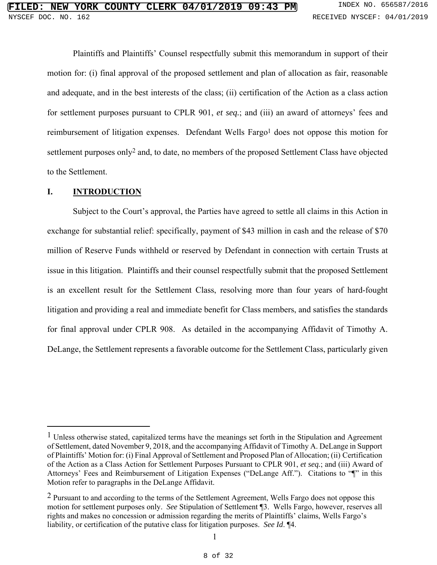Plaintiffs and Plaintiffs' Counsel respectfully submit this memorandum in support of their motion for: (i) final approval of the proposed settlement and plan of allocation as fair, reasonable and adequate, and in the best interests of the class; (ii) certification of the Action as a class action for settlement purposes pursuant to CPLR 901, *et seq.*; and (iii) an award of attorneys' fees and reimbursement of litigation expenses. Defendant Wells Fargo<sup>1</sup> does not oppose this motion for settlement purposes only2 and, to date, no members of the proposed Settlement Class have objected to the Settlement.

#### **I. INTRODUCTION**

1

Subject to the Court's approval, the Parties have agreed to settle all claims in this Action in exchange for substantial relief: specifically, payment of \$43 million in cash and the release of \$70 million of Reserve Funds withheld or reserved by Defendant in connection with certain Trusts at issue in this litigation. Plaintiffs and their counsel respectfully submit that the proposed Settlement is an excellent result for the Settlement Class, resolving more than four years of hard-fought litigation and providing a real and immediate benefit for Class members, and satisfies the standards for final approval under CPLR 908. As detailed in the accompanying Affidavit of Timothy A. DeLange, the Settlement represents a favorable outcome for the Settlement Class, particularly given

<sup>&</sup>lt;sup>1</sup> Unless otherwise stated, capitalized terms have the meanings set forth in the Stipulation and Agreement of Settlement, dated November 9, 2018, and the accompanying Affidavit of Timothy A. DeLange in Support of Plaintiffs' Motion for: (i) Final Approval of Settlement and Proposed Plan of Allocation; (ii) Certification of the Action as a Class Action for Settlement Purposes Pursuant to CPLR 901, *et seq.*; and (iii) Award of Attorneys' Fees and Reimbursement of Litigation Expenses ("DeLange Aff."). Citations to "¶" in this Motion refer to paragraphs in the DeLange Affidavit.

<sup>2</sup> Pursuant to and according to the terms of the Settlement Agreement, Wells Fargo does not oppose this motion for settlement purposes only. *See* Stipulation of Settlement ¶3. Wells Fargo, however, reserves all rights and makes no concession or admission regarding the merits of Plaintiffs' claims, Wells Fargo's liability, or certification of the putative class for litigation purposes. *See Id*. ¶4.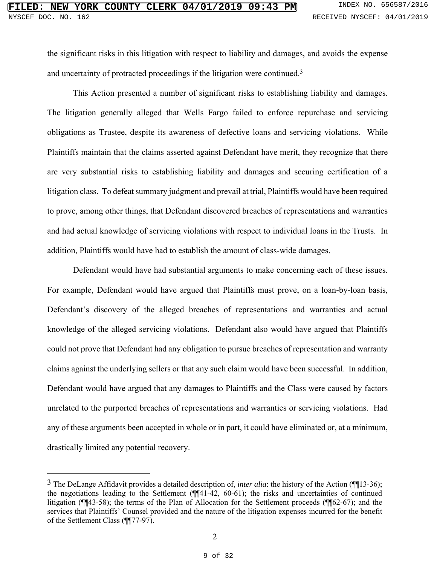the significant risks in this litigation with respect to liability and damages, and avoids the expense and uncertainty of protracted proceedings if the litigation were continued.3

This Action presented a number of significant risks to establishing liability and damages. The litigation generally alleged that Wells Fargo failed to enforce repurchase and servicing obligations as Trustee, despite its awareness of defective loans and servicing violations. While Plaintiffs maintain that the claims asserted against Defendant have merit, they recognize that there are very substantial risks to establishing liability and damages and securing certification of a litigation class. To defeat summary judgment and prevail at trial, Plaintiffs would have been required to prove, among other things, that Defendant discovered breaches of representations and warranties and had actual knowledge of servicing violations with respect to individual loans in the Trusts. In addition, Plaintiffs would have had to establish the amount of class-wide damages.

Defendant would have had substantial arguments to make concerning each of these issues. For example, Defendant would have argued that Plaintiffs must prove, on a loan-by-loan basis, Defendant's discovery of the alleged breaches of representations and warranties and actual knowledge of the alleged servicing violations. Defendant also would have argued that Plaintiffs could not prove that Defendant had any obligation to pursue breaches of representation and warranty claims against the underlying sellers or that any such claim would have been successful. In addition, Defendant would have argued that any damages to Plaintiffs and the Class were caused by factors unrelated to the purported breaches of representations and warranties or servicing violations. Had any of these arguments been accepted in whole or in part, it could have eliminated or, at a minimum, drastically limited any potential recovery.

1

<sup>3</sup> The DeLange Affidavit provides a detailed description of, *inter alia*: the history of the Action (¶¶13-36); the negotiations leading to the Settlement (¶¶41-42, 60-61); the risks and uncertainties of continued litigation (¶¶43-58); the terms of the Plan of Allocation for the Settlement proceeds (¶¶62-67); and the services that Plaintiffs' Counsel provided and the nature of the litigation expenses incurred for the benefit of the Settlement Class (¶¶77-97).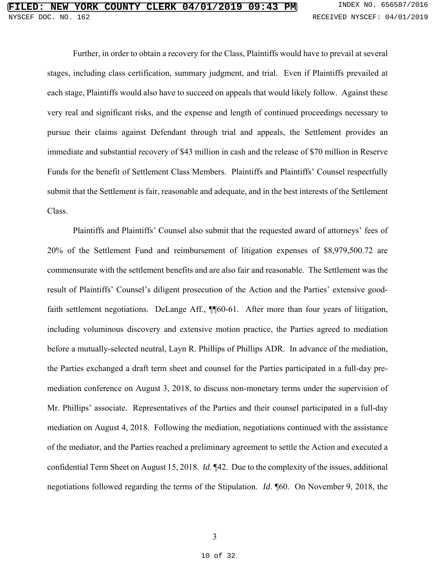Further, in order to obtain a recovery for the Class, Plaintiffs would have to prevail at several stages, including class certification, summary judgment, and trial. Even if Plaintiffs prevailed at each stage, Plaintiffs would also have to succeed on appeals that would likely follow. Against these very real and significant risks, and the expense and length of continued proceedings necessary to pursue their claims against Defendant through trial and appeals, the Settlement provides an immediate and substantial recovery of \$43 million in cash and the release of \$70 million in Reserve Funds for the benefit of Settlement Class Members. Plaintiffs and Plaintiffs' Counsel respectfully submit that the Settlement is fair, reasonable and adequate, and in the best interests of the Settlement Class.

Plaintiffs and Plaintiffs' Counsel also submit that the requested award of attorneys' fees of 20% of the Settlement Fund and reimbursement of litigation expenses of \$8,979,500.72 are commensurate with the settlement benefits and are also fair and reasonable. The Settlement was the result of Plaintiffs' Counsel's diligent prosecution of the Action and the Parties' extensive goodfaith settlement negotiations. DeLange Aff., ¶ 60-61. After more than four years of litigation, including voluminous discovery and extensive motion practice, the Parties agreed to mediation before a mutually-selected neutral, Layn R. Phillips of Phillips ADR. In advance of the mediation, the Parties exchanged a draft term sheet and counsel for the Parties participated in a full-day premediation conference on August 3, 2018, to discuss non-monetary terms under the supervision of Mr. Phillips' associate. Representatives of the Parties and their counsel participated in a full-day mediation on August 4, 2018. Following the mediation, negotiations continued with the assistance of the mediator, and the Parties reached a preliminary agreement to settle the Action and executed a confidential Term Sheet on August 15, 2018. *Id*. ¶42. Due to the complexity of the issues, additional negotiations followed regarding the terms of the Stipulation. *Id*. ¶60. On November 9, 2018, the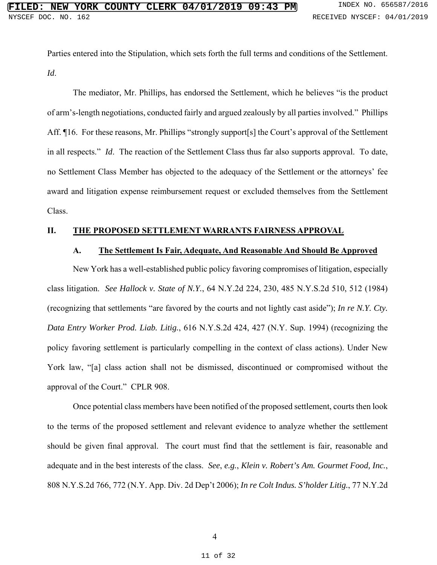Parties entered into the Stipulation, which sets forth the full terms and conditions of the Settlement. *Id*.

The mediator, Mr. Phillips, has endorsed the Settlement, which he believes "is the product of arm's-length negotiations, conducted fairly and argued zealously by all parties involved." Phillips Aff. ¶16. For these reasons, Mr. Phillips "strongly support[s] the Court's approval of the Settlement in all respects." *Id*. The reaction of the Settlement Class thus far also supports approval. To date, no Settlement Class Member has objected to the adequacy of the Settlement or the attorneys' fee award and litigation expense reimbursement request or excluded themselves from the Settlement Class.

#### **II. THE PROPOSED SETTLEMENT WARRANTS FAIRNESS APPROVAL**

#### **A. The Settlement Is Fair, Adequate, And Reasonable And Should Be Approved**

New York has a well-established public policy favoring compromises of litigation, especially class litigation. *See Hallock v. State of N.Y.*, 64 N.Y.2d 224, 230, 485 N.Y.S.2d 510, 512 (1984) (recognizing that settlements "are favored by the courts and not lightly cast aside"); *In re N.Y. Cty. Data Entry Worker Prod. Liab. Litig.*, 616 N.Y.S.2d 424, 427 (N.Y. Sup. 1994) (recognizing the policy favoring settlement is particularly compelling in the context of class actions). Under New York law, "[a] class action shall not be dismissed, discontinued or compromised without the approval of the Court." CPLR 908.

Once potential class members have been notified of the proposed settlement, courts then look to the terms of the proposed settlement and relevant evidence to analyze whether the settlement should be given final approval. The court must find that the settlement is fair, reasonable and adequate and in the best interests of the class. *See*, *e.g.*, *Klein v. Robert's Am. Gourmet Food, Inc.*, 808 N.Y.S.2d 766, 772 (N.Y. App. Div. 2d Dep't 2006); *In re Colt Indus. S'holder Litig.*, 77 N.Y.2d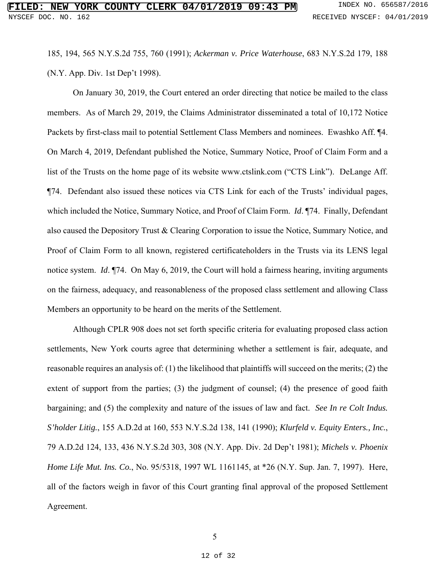185, 194, 565 N.Y.S.2d 755, 760 (1991); *Ackerman v. Price Waterhouse*, 683 N.Y.S.2d 179, 188 (N.Y. App. Div. 1st Dep't 1998).

On January 30, 2019, the Court entered an order directing that notice be mailed to the class members. As of March 29, 2019, the Claims Administrator disseminated a total of 10,172 Notice Packets by first-class mail to potential Settlement Class Members and nominees. Ewashko Aff. ¶4. On March 4, 2019, Defendant published the Notice, Summary Notice, Proof of Claim Form and a list of the Trusts on the home page of its website www.ctslink.com ("CTS Link"). DeLange Aff. ¶74. Defendant also issued these notices via CTS Link for each of the Trusts' individual pages, which included the Notice, Summary Notice, and Proof of Claim Form. *Id*. ¶74. Finally, Defendant also caused the Depository Trust & Clearing Corporation to issue the Notice, Summary Notice, and Proof of Claim Form to all known, registered certificateholders in the Trusts via its LENS legal notice system. *Id*. ¶74. On May 6, 2019, the Court will hold a fairness hearing, inviting arguments on the fairness, adequacy, and reasonableness of the proposed class settlement and allowing Class Members an opportunity to be heard on the merits of the Settlement.

Although CPLR 908 does not set forth specific criteria for evaluating proposed class action settlements, New York courts agree that determining whether a settlement is fair, adequate, and reasonable requires an analysis of: (1) the likelihood that plaintiffs will succeed on the merits; (2) the extent of support from the parties; (3) the judgment of counsel; (4) the presence of good faith bargaining; and (5) the complexity and nature of the issues of law and fact. *See In re Colt Indus. S'holder Litig.*, 155 A.D.2d at 160, 553 N.Y.S.2d 138, 141 (1990); *Klurfeld v. Equity Enters., Inc.*, 79 A.D.2d 124, 133, 436 N.Y.S.2d 303, 308 (N.Y. App. Div. 2d Dep't 1981); *Michels v. Phoenix Home Life Mut. Ins. Co.*, No. 95/5318, 1997 WL 1161145, at \*26 (N.Y. Sup. Jan. 7, 1997). Here, all of the factors weigh in favor of this Court granting final approval of the proposed Settlement Agreement.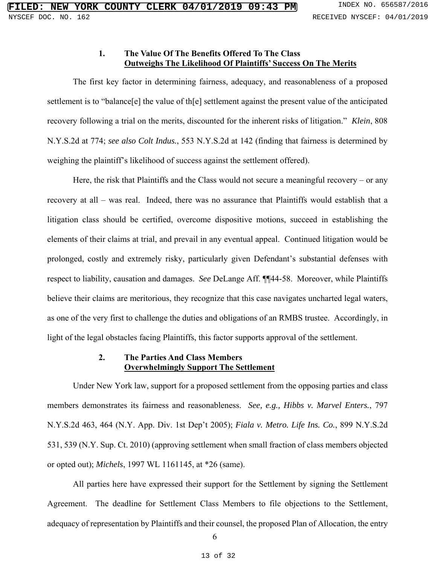#### **1. The Value Of The Benefits Offered To The Class Outweighs The Likelihood Of Plaintiffs' Success On The Merits**

The first key factor in determining fairness, adequacy, and reasonableness of a proposed settlement is to "balance<sup>[e]</sup> the value of th<sup>[e]</sup> settlement against the present value of the anticipated recovery following a trial on the merits, discounted for the inherent risks of litigation." *Klein*, 808 N.Y.S.2d at 774; *see also Colt Indus.*, 553 N.Y.S.2d at 142 (finding that fairness is determined by weighing the plaintiff's likelihood of success against the settlement offered).

Here, the risk that Plaintiffs and the Class would not secure a meaningful recovery – or any recovery at all – was real. Indeed, there was no assurance that Plaintiffs would establish that a litigation class should be certified, overcome dispositive motions, succeed in establishing the elements of their claims at trial, and prevail in any eventual appeal. Continued litigation would be prolonged, costly and extremely risky, particularly given Defendant's substantial defenses with respect to liability, causation and damages. *See* DeLange Aff. ¶¶44-58. Moreover, while Plaintiffs believe their claims are meritorious, they recognize that this case navigates uncharted legal waters, as one of the very first to challenge the duties and obligations of an RMBS trustee. Accordingly, in light of the legal obstacles facing Plaintiffs, this factor supports approval of the settlement.

#### **2. The Parties And Class Members Overwhelmingly Support The Settlement**

Under New York law, support for a proposed settlement from the opposing parties and class members demonstrates its fairness and reasonableness. *See, e.g., Hibbs v. Marvel Enters.*, 797 N.Y.S.2d 463, 464 (N.Y. App. Div. 1st Dep't 2005); *Fiala v. Metro. Life Ins. Co.*, 899 N.Y.S.2d 531, 539 (N.Y. Sup. Ct. 2010) (approving settlement when small fraction of class members objected or opted out); *Michels*, 1997 WL 1161145, at \*26 (same).

All parties here have expressed their support for the Settlement by signing the Settlement Agreement. The deadline for Settlement Class Members to file objections to the Settlement, adequacy of representation by Plaintiffs and their counsel, the proposed Plan of Allocation, the entry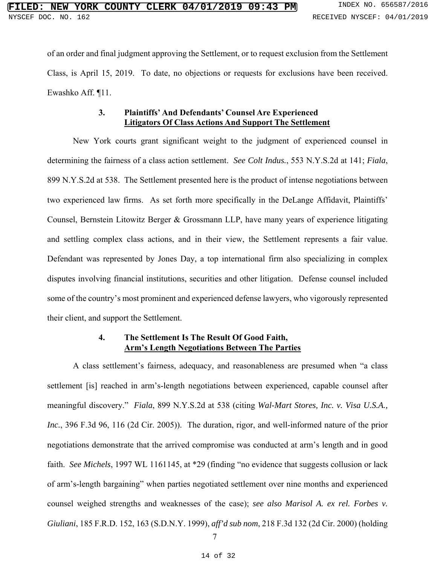of an order and final judgment approving the Settlement, or to request exclusion from the Settlement Class, is April 15, 2019. To date, no objections or requests for exclusions have been received. Ewashko Aff. ¶11.

#### **3. Plaintiffs' And Defendants' Counsel Are Experienced Litigators Of Class Actions And Support The Settlement**

New York courts grant significant weight to the judgment of experienced counsel in determining the fairness of a class action settlement. *See Colt Indus.*, 553 N.Y.S.2d at 141; *Fiala*, 899 N.Y.S.2d at 538. The Settlement presented here is the product of intense negotiations between two experienced law firms. As set forth more specifically in the DeLange Affidavit, Plaintiffs' Counsel, Bernstein Litowitz Berger & Grossmann LLP, have many years of experience litigating and settling complex class actions, and in their view, the Settlement represents a fair value. Defendant was represented by Jones Day, a top international firm also specializing in complex disputes involving financial institutions, securities and other litigation. Defense counsel included some of the country's most prominent and experienced defense lawyers, who vigorously represented their client, and support the Settlement.

### **4. The Settlement Is The Result Of Good Faith, Arm's Length Negotiations Between The Parties**

A class settlement's fairness, adequacy, and reasonableness are presumed when "a class settlement [is] reached in arm's-length negotiations between experienced, capable counsel after meaningful discovery." *Fiala*, 899 N.Y.S.2d at 538 (citing *Wal-Mart Stores, Inc. v. Visa U.S.A., Inc.*, 396 F.3d 96, 116 (2d Cir. 2005)). The duration, rigor, and well-informed nature of the prior negotiations demonstrate that the arrived compromise was conducted at arm's length and in good faith. *See Michels*, 1997 WL 1161145, at \*29 (finding "no evidence that suggests collusion or lack of arm's-length bargaining" when parties negotiated settlement over nine months and experienced counsel weighed strengths and weaknesses of the case); *see also Marisol A. ex rel. Forbes v. Giuliani*, 185 F.R.D. 152, 163 (S.D.N.Y. 1999), *aff'd sub nom*, 218 F.3d 132 (2d Cir. 2000) (holding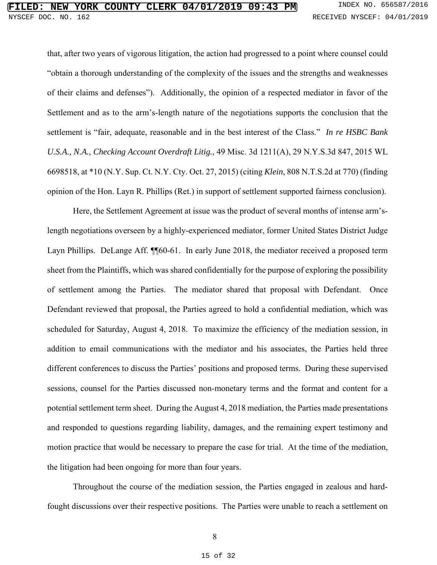that, after two years of vigorous litigation, the action had progressed to a point where counsel could "obtain a thorough understanding of the complexity of the issues and the strengths and weaknesses of their claims and defenses"). Additionally, the opinion of a respected mediator in favor of the Settlement and as to the arm's-length nature of the negotiations supports the conclusion that the settlement is "fair, adequate, reasonable and in the best interest of the Class." *In re HSBC Bank U.S.A., N.A., Checking Account Overdraft Litig.*, 49 Misc. 3d 1211(A), 29 N.Y.S.3d 847, 2015 WL 6698518, at \*10 (N.Y. Sup. Ct. N.Y. Cty. Oct. 27, 2015) (citing *Klein*, 808 N.T.S.2d at 770) (finding opinion of the Hon. Layn R. Phillips (Ret.) in support of settlement supported fairness conclusion).

Here, the Settlement Agreement at issue was the product of several months of intense arm'slength negotiations overseen by a highly-experienced mediator, former United States District Judge Layn Phillips. DeLange Aff. ¶¶60-61. In early June 2018, the mediator received a proposed term sheet from the Plaintiffs, which was shared confidentially for the purpose of exploring the possibility of settlement among the Parties. The mediator shared that proposal with Defendant. Once Defendant reviewed that proposal, the Parties agreed to hold a confidential mediation, which was scheduled for Saturday, August 4, 2018. To maximize the efficiency of the mediation session, in addition to email communications with the mediator and his associates, the Parties held three different conferences to discuss the Parties' positions and proposed terms. During these supervised sessions, counsel for the Parties discussed non-monetary terms and the format and content for a potential settlement term sheet. During the August 4, 2018 mediation, the Parties made presentations and responded to questions regarding liability, damages, and the remaining expert testimony and motion practice that would be necessary to prepare the case for trial. At the time of the mediation, the litigation had been ongoing for more than four years.

Throughout the course of the mediation session, the Parties engaged in zealous and hardfought discussions over their respective positions. The Parties were unable to reach a settlement on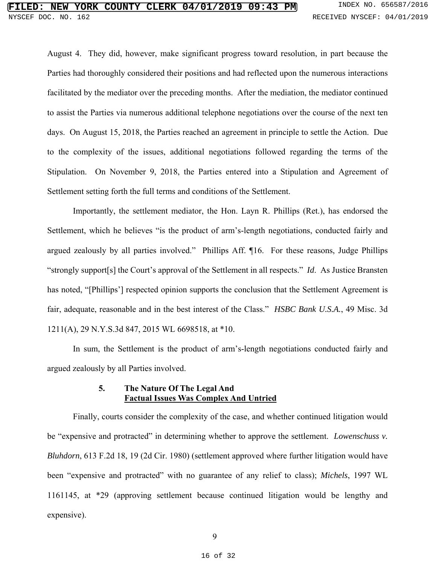August 4. They did, however, make significant progress toward resolution, in part because the Parties had thoroughly considered their positions and had reflected upon the numerous interactions facilitated by the mediator over the preceding months. After the mediation, the mediator continued to assist the Parties via numerous additional telephone negotiations over the course of the next ten days. On August 15, 2018, the Parties reached an agreement in principle to settle the Action. Due to the complexity of the issues, additional negotiations followed regarding the terms of the Stipulation. On November 9, 2018, the Parties entered into a Stipulation and Agreement of Settlement setting forth the full terms and conditions of the Settlement.

Importantly, the settlement mediator, the Hon. Layn R. Phillips (Ret.), has endorsed the Settlement, which he believes "is the product of arm's-length negotiations, conducted fairly and argued zealously by all parties involved." Phillips Aff. ¶16. For these reasons, Judge Phillips "strongly support[s] the Court's approval of the Settlement in all respects." *Id*. As Justice Bransten has noted, "[Phillips'] respected opinion supports the conclusion that the Settlement Agreement is fair, adequate, reasonable and in the best interest of the Class." *HSBC Bank U.S.A.*, 49 Misc. 3d 1211(A), 29 N.Y.S.3d 847, 2015 WL 6698518, at \*10.

In sum, the Settlement is the product of arm's-length negotiations conducted fairly and argued zealously by all Parties involved.

#### **5. The Nature Of The Legal And Factual Issues Was Complex And Untried**

Finally, courts consider the complexity of the case, and whether continued litigation would be "expensive and protracted" in determining whether to approve the settlement. *Lowenschuss v*. *Bluhdorn*, 613 F.2d 18, 19 (2d Cir. 1980) (settlement approved where further litigation would have been "expensive and protracted" with no guarantee of any relief to class); *Michels*, 1997 WL 1161145, at \*29 (approving settlement because continued litigation would be lengthy and expensive).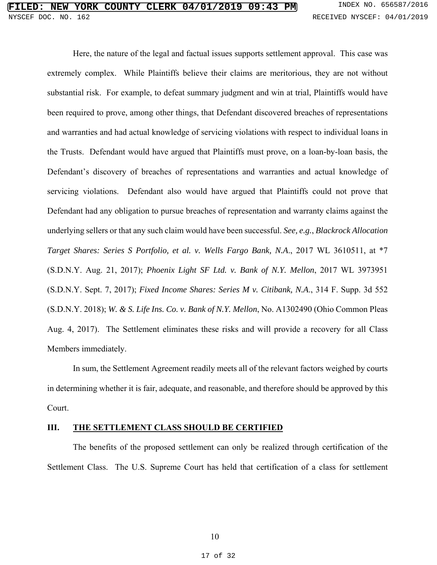Here, the nature of the legal and factual issues supports settlement approval. This case was extremely complex. While Plaintiffs believe their claims are meritorious, they are not without substantial risk. For example, to defeat summary judgment and win at trial, Plaintiffs would have been required to prove, among other things, that Defendant discovered breaches of representations and warranties and had actual knowledge of servicing violations with respect to individual loans in the Trusts. Defendant would have argued that Plaintiffs must prove, on a loan-by-loan basis, the Defendant's discovery of breaches of representations and warranties and actual knowledge of servicing violations. Defendant also would have argued that Plaintiffs could not prove that Defendant had any obligation to pursue breaches of representation and warranty claims against the underlying sellers or that any such claim would have been successful. *See, e.g.*, *Blackrock Allocation Target Shares: Series S Portfolio, et al. v. Wells Fargo Bank, N.A*., 2017 WL 3610511, at \*7 (S.D.N.Y. Aug. 21, 2017); *Phoenix Light SF Ltd. v. Bank of N.Y. Mellon*, 2017 WL 3973951 (S.D.N.Y. Sept. 7, 2017); *Fixed Income Shares: Series M v. Citibank, N.A*., 314 F. Supp. 3d 552 (S.D.N.Y. 2018); *W. & S. Life Ins. Co. v. Bank of N.Y. Mellon*, No. A1302490 (Ohio Common Pleas Aug. 4, 2017). The Settlement eliminates these risks and will provide a recovery for all Class Members immediately.

In sum, the Settlement Agreement readily meets all of the relevant factors weighed by courts in determining whether it is fair, adequate, and reasonable, and therefore should be approved by this Court.

#### **III. THE SETTLEMENT CLASS SHOULD BE CERTIFIED**

The benefits of the proposed settlement can only be realized through certification of the Settlement Class. The U.S. Supreme Court has held that certification of a class for settlement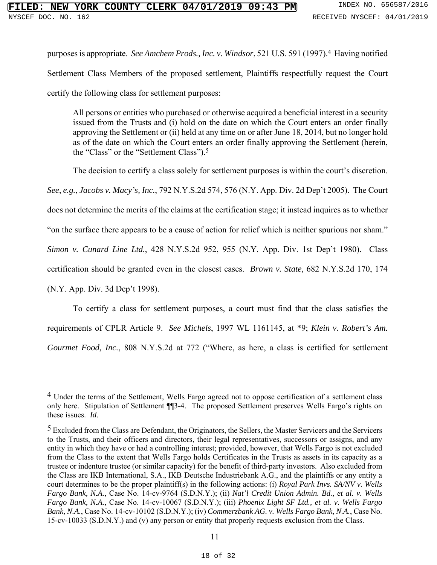purposes is appropriate. *See Amchem Prods., Inc. v. Windsor*, 521 U.S. 591 (1997).4 Having notified Settlement Class Members of the proposed settlement, Plaintiffs respectfully request the Court certify the following class for settlement purposes:

All persons or entities who purchased or otherwise acquired a beneficial interest in a security issued from the Trusts and (i) hold on the date on which the Court enters an order finally approving the Settlement or (ii) held at any time on or after June 18, 2014, but no longer hold as of the date on which the Court enters an order finally approving the Settlement (herein, the "Class" or the "Settlement Class").5

The decision to certify a class solely for settlement purposes is within the court's discretion.

*See*, *e.g.*, *Jacobs v. Macy's, Inc.*, 792 N.Y.S.2d 574, 576 (N.Y. App. Div. 2d Dep't 2005). The Court

does not determine the merits of the claims at the certification stage; it instead inquires as to whether

"on the surface there appears to be a cause of action for relief which is neither spurious nor sham."

*Simon v. Cunard Line Ltd.*, 428 N.Y.S.2d 952, 955 (N.Y. App. Div. 1st Dep't 1980). Class

certification should be granted even in the closest cases. *Brown v. State*, 682 N.Y.S.2d 170, 174

(N.Y. App. Div. 3d Dep't 1998).

1

To certify a class for settlement purposes, a court must find that the class satisfies the requirements of CPLR Article 9. *See Michels*, 1997 WL 1161145, at \*9; *Klein v. Robert's Am. Gourmet Food, Inc.*, 808 N.Y.S.2d at 772 ("Where, as here, a class is certified for settlement

<sup>&</sup>lt;sup>4</sup> Under the terms of the Settlement, Wells Fargo agreed not to oppose certification of a settlement class only here. Stipulation of Settlement ¶¶3-4. The proposed Settlement preserves Wells Fargo's rights on these issues. *Id*.

<sup>5</sup> Excluded from the Class are Defendant, the Originators, the Sellers, the Master Servicers and the Servicers to the Trusts, and their officers and directors, their legal representatives, successors or assigns, and any entity in which they have or had a controlling interest; provided, however, that Wells Fargo is not excluded from the Class to the extent that Wells Fargo holds Certificates in the Trusts as assets in its capacity as a trustee or indenture trustee (or similar capacity) for the benefit of third-party investors. Also excluded from the Class are IKB International, S.A., IKB Deutsche Industriebank A.G., and the plaintiffs or any entity a court determines to be the proper plaintiff(s) in the following actions: (i) *Royal Park Invs. SA/NV v. Wells Fargo Bank, N.A.*, Case No. 14-cv-9764 (S.D.N.Y.); (ii) *Nat'l Credit Union Admin. Bd., et al. v. Wells Fargo Bank, N.A.*, Case No. 14-cv-10067 (S.D.N.Y.); (iii) *Phoenix Light SF Ltd., et al. v. Wells Fargo Bank, N.A.*, Case No. 14-cv-10102 (S.D.N.Y.); (iv) *Commerzbank AG. v. Wells Fargo Bank, N.A.*, Case No. 15-cv-10033 (S.D.N.Y.) and (v) any person or entity that properly requests exclusion from the Class.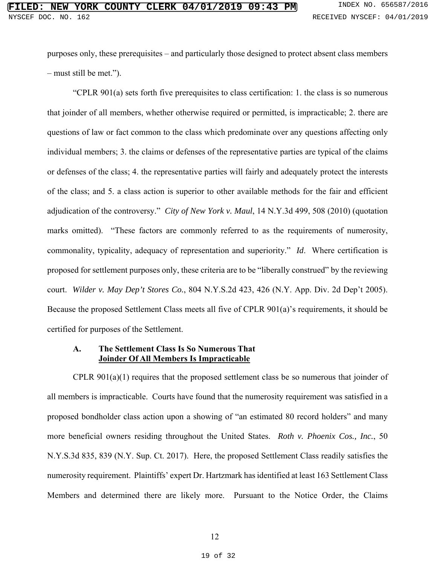purposes only, these prerequisites – and particularly those designed to protect absent class members – must still be met.").

"CPLR 901(a) sets forth five prerequisites to class certification: 1. the class is so numerous that joinder of all members, whether otherwise required or permitted, is impracticable; 2. there are questions of law or fact common to the class which predominate over any questions affecting only individual members; 3. the claims or defenses of the representative parties are typical of the claims or defenses of the class; 4. the representative parties will fairly and adequately protect the interests of the class; and 5. a class action is superior to other available methods for the fair and efficient adjudication of the controversy." *City of New York v. Maul*, 14 N.Y.3d 499, 508 (2010) (quotation marks omitted). "These factors are commonly referred to as the requirements of numerosity, commonality, typicality, adequacy of representation and superiority." *Id*. Where certification is proposed for settlement purposes only, these criteria are to be "liberally construed" by the reviewing court. *Wilder v. May Dep't Stores Co.*, 804 N.Y.S.2d 423, 426 (N.Y. App. Div. 2d Dep't 2005). Because the proposed Settlement Class meets all five of CPLR 901(a)'s requirements, it should be certified for purposes of the Settlement.

#### **A. The Settlement Class Is So Numerous That Joinder Of All Members Is Impracticable**

CPLR 901(a)(1) requires that the proposed settlement class be so numerous that joinder of all members is impracticable. Courts have found that the numerosity requirement was satisfied in a proposed bondholder class action upon a showing of "an estimated 80 record holders" and many more beneficial owners residing throughout the United States. *Roth v. Phoenix Cos., Inc.*, 50 N.Y.S.3d 835, 839 (N.Y. Sup. Ct. 2017). Here, the proposed Settlement Class readily satisfies the numerosity requirement. Plaintiffs' expert Dr. Hartzmark has identified at least 163 Settlement Class Members and determined there are likely more. Pursuant to the Notice Order, the Claims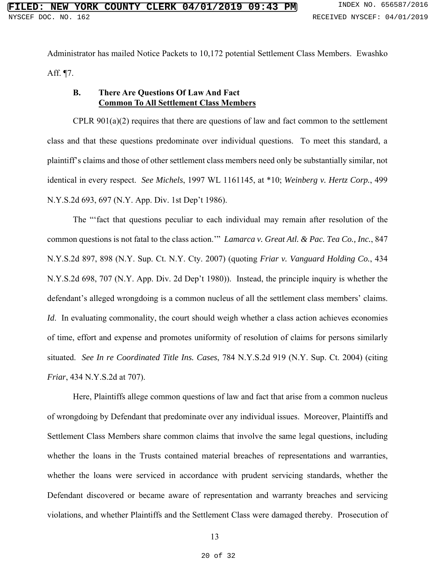Administrator has mailed Notice Packets to 10,172 potential Settlement Class Members. Ewashko Aff. ¶7.

#### **B. There Are Questions Of Law And Fact Common To All Settlement Class Members**

CPLR  $901(a)(2)$  requires that there are questions of law and fact common to the settlement class and that these questions predominate over individual questions. To meet this standard, a plaintiff's claims and those of other settlement class members need only be substantially similar, not identical in every respect. *See Michels*, 1997 WL 1161145, at \*10; *Weinberg v. Hertz Corp.*, 499 N.Y.S.2d 693, 697 (N.Y. App. Div. 1st Dep't 1986).

The "'fact that questions peculiar to each individual may remain after resolution of the common questions is not fatal to the class action.'" *Lamarca v. Great Atl. & Pac. Tea Co., Inc.*, 847 N.Y.S.2d 897, 898 (N.Y. Sup. Ct. N.Y. Cty. 2007) (quoting *Friar v. Vanguard Holding Co.*, 434 N.Y.S.2d 698, 707 (N.Y. App. Div. 2d Dep't 1980)). Instead, the principle inquiry is whether the defendant's alleged wrongdoing is a common nucleus of all the settlement class members' claims. *Id.* In evaluating commonality, the court should weigh whether a class action achieves economies of time, effort and expense and promotes uniformity of resolution of claims for persons similarly situated. *See In re Coordinated Title Ins. Cases*, 784 N.Y.S.2d 919 (N.Y. Sup. Ct. 2004) (citing *Friar*, 434 N.Y.S.2d at 707).

Here, Plaintiffs allege common questions of law and fact that arise from a common nucleus of wrongdoing by Defendant that predominate over any individual issues. Moreover, Plaintiffs and Settlement Class Members share common claims that involve the same legal questions, including whether the loans in the Trusts contained material breaches of representations and warranties, whether the loans were serviced in accordance with prudent servicing standards, whether the Defendant discovered or became aware of representation and warranty breaches and servicing violations, and whether Plaintiffs and the Settlement Class were damaged thereby. Prosecution of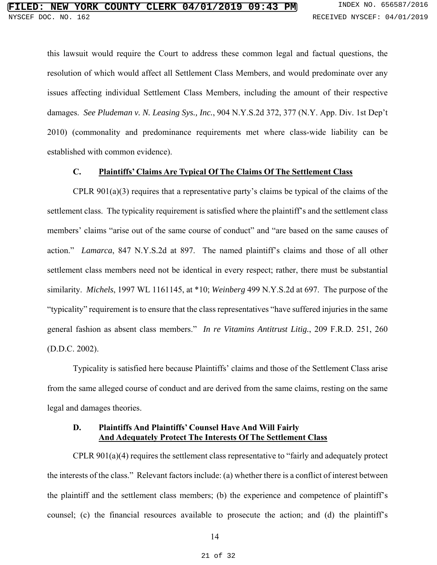this lawsuit would require the Court to address these common legal and factual questions, the resolution of which would affect all Settlement Class Members, and would predominate over any issues affecting individual Settlement Class Members, including the amount of their respective damages. *See Pludeman v. N. Leasing Sys., Inc.*, 904 N.Y.S.2d 372, 377 (N.Y. App. Div. 1st Dep't 2010) (commonality and predominance requirements met where class-wide liability can be established with common evidence).

#### **C. Plaintiffs' Claims Are Typical Of The Claims Of The Settlement Class**

CPLR 901(a)(3) requires that a representative party's claims be typical of the claims of the settlement class. The typicality requirement is satisfied where the plaintiff's and the settlement class members' claims "arise out of the same course of conduct" and "are based on the same causes of action." *Lamarca*, 847 N.Y.S.2d at 897. The named plaintiff's claims and those of all other settlement class members need not be identical in every respect; rather, there must be substantial similarity. *Michels*, 1997 WL 1161145, at \*10; *Weinberg* 499 N.Y.S.2d at 697. The purpose of the "typicality" requirement is to ensure that the class representatives "have suffered injuries in the same general fashion as absent class members." *In re Vitamins Antitrust Litig.*, 209 F.R.D. 251, 260 (D.D.C. 2002).

Typicality is satisfied here because Plaintiffs' claims and those of the Settlement Class arise from the same alleged course of conduct and are derived from the same claims, resting on the same legal and damages theories.

#### **D. Plaintiffs And Plaintiffs' Counsel Have And Will Fairly And Adequately Protect The Interests Of The Settlement Class**

CPLR 901(a)(4) requires the settlement class representative to "fairly and adequately protect the interests of the class." Relevant factors include: (a) whether there is a conflict of interest between the plaintiff and the settlement class members; (b) the experience and competence of plaintiff's counsel; (c) the financial resources available to prosecute the action; and (d) the plaintiff's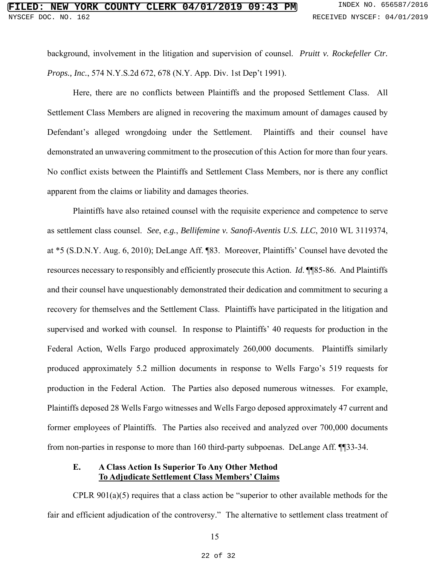background, involvement in the litigation and supervision of counsel. *Pruitt v. Rockefeller Ctr. Props., Inc.*, 574 N.Y.S.2d 672, 678 (N.Y. App. Div. 1st Dep't 1991).

Here, there are no conflicts between Plaintiffs and the proposed Settlement Class. All Settlement Class Members are aligned in recovering the maximum amount of damages caused by Defendant's alleged wrongdoing under the Settlement. Plaintiffs and their counsel have demonstrated an unwavering commitment to the prosecution of this Action for more than four years. No conflict exists between the Plaintiffs and Settlement Class Members, nor is there any conflict apparent from the claims or liability and damages theories.

Plaintiffs have also retained counsel with the requisite experience and competence to serve as settlement class counsel. *See*, *e.g.*, *Bellifemine v. Sanofi-Aventis U.S. LLC*, 2010 WL 3119374, at \*5 (S.D.N.Y. Aug. 6, 2010); DeLange Aff. ¶83. Moreover, Plaintiffs' Counsel have devoted the resources necessary to responsibly and efficiently prosecute this Action. *Id*. ¶¶85-86. And Plaintiffs and their counsel have unquestionably demonstrated their dedication and commitment to securing a recovery for themselves and the Settlement Class. Plaintiffs have participated in the litigation and supervised and worked with counsel. In response to Plaintiffs' 40 requests for production in the Federal Action, Wells Fargo produced approximately 260,000 documents. Plaintiffs similarly produced approximately 5.2 million documents in response to Wells Fargo's 519 requests for production in the Federal Action. The Parties also deposed numerous witnesses. For example, Plaintiffs deposed 28 Wells Fargo witnesses and Wells Fargo deposed approximately 47 current and former employees of Plaintiffs. The Parties also received and analyzed over 700,000 documents from non-parties in response to more than 160 third-party subpoenas. DeLange Aff. ¶¶33-34.

#### **E. A Class Action Is Superior To Any Other Method To Adjudicate Settlement Class Members' Claims**

CPLR 901(a)(5) requires that a class action be "superior to other available methods for the fair and efficient adjudication of the controversy." The alternative to settlement class treatment of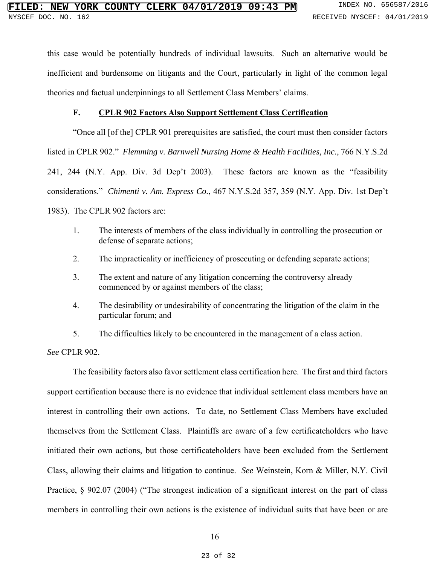this case would be potentially hundreds of individual lawsuits. Such an alternative would be inefficient and burdensome on litigants and the Court, particularly in light of the common legal theories and factual underpinnings to all Settlement Class Members' claims.

#### **F. CPLR 902 Factors Also Support Settlement Class Certification**

"Once all [of the] CPLR 901 prerequisites are satisfied, the court must then consider factors listed in CPLR 902." *Flemming v. Barnwell Nursing Home & Health Facilities, Inc.*, 766 N.Y.S.2d 241, 244 (N.Y. App. Div. 3d Dep't 2003). These factors are known as the "feasibility considerations." *Chimenti v. Am. Express Co.*, 467 N.Y.S.2d 357, 359 (N.Y. App. Div. 1st Dep't 1983). The CPLR 902 factors are:

- 1. The interests of members of the class individually in controlling the prosecution or defense of separate actions;
- 2. The impracticality or inefficiency of prosecuting or defending separate actions;
- 3. The extent and nature of any litigation concerning the controversy already commenced by or against members of the class;
- 4. The desirability or undesirability of concentrating the litigation of the claim in the particular forum; and
- 5. The difficulties likely to be encountered in the management of a class action.

*See* CPLR 902.

The feasibility factors also favor settlement class certification here. The first and third factors support certification because there is no evidence that individual settlement class members have an interest in controlling their own actions. To date, no Settlement Class Members have excluded themselves from the Settlement Class. Plaintiffs are aware of a few certificateholders who have initiated their own actions, but those certificateholders have been excluded from the Settlement Class, allowing their claims and litigation to continue. *See* Weinstein, Korn & Miller, N.Y. Civil Practice, § 902.07 (2004) ("The strongest indication of a significant interest on the part of class members in controlling their own actions is the existence of individual suits that have been or are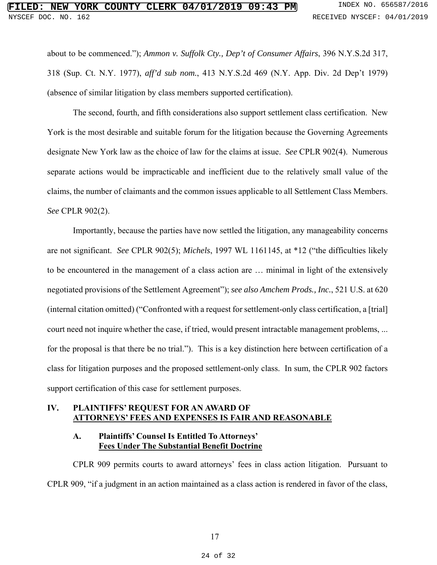about to be commenced."); *Ammon v. Suffolk Cty., Dep't of Consumer Affairs*, 396 N.Y.S.2d 317, 318 (Sup. Ct. N.Y. 1977), *aff'd sub nom.*, 413 N.Y.S.2d 469 (N.Y. App. Div. 2d Dep't 1979) (absence of similar litigation by class members supported certification).

The second, fourth, and fifth considerations also support settlement class certification. New York is the most desirable and suitable forum for the litigation because the Governing Agreements designate New York law as the choice of law for the claims at issue. *See* CPLR 902(4). Numerous separate actions would be impracticable and inefficient due to the relatively small value of the claims, the number of claimants and the common issues applicable to all Settlement Class Members. *See* CPLR 902(2).

Importantly, because the parties have now settled the litigation, any manageability concerns are not significant. *See* CPLR 902(5); *Michels*, 1997 WL 1161145, at \*12 ("the difficulties likely to be encountered in the management of a class action are … minimal in light of the extensively negotiated provisions of the Settlement Agreement"); *see also Amchem Prods., Inc.*, 521 U.S. at 620 (internal citation omitted) ("Confronted with a request for settlement-only class certification, a [trial] court need not inquire whether the case, if tried, would present intractable management problems, ... for the proposal is that there be no trial."). This is a key distinction here between certification of a class for litigation purposes and the proposed settlement-only class. In sum, the CPLR 902 factors support certification of this case for settlement purposes.

#### **IV. PLAINTIFFS' REQUEST FOR AN AWARD OF ATTORNEYS' FEES AND EXPENSES IS FAIR AND REASONABLE**

#### **A. Plaintiffs' Counsel Is Entitled To Attorneys' Fees Under The Substantial Benefit Doctrine**

CPLR 909 permits courts to award attorneys' fees in class action litigation. Pursuant to CPLR 909, "if a judgment in an action maintained as a class action is rendered in favor of the class,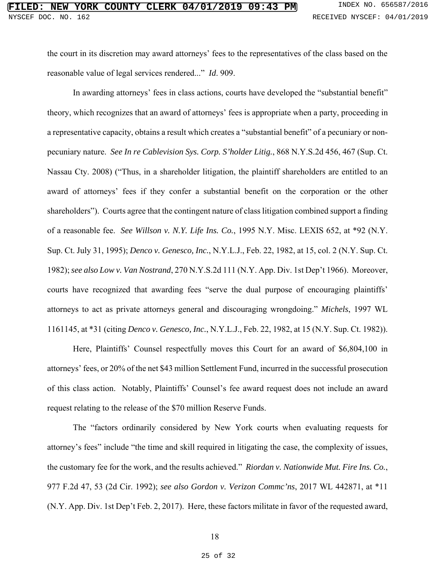the court in its discretion may award attorneys' fees to the representatives of the class based on the reasonable value of legal services rendered..." *Id*. 909.

In awarding attorneys' fees in class actions, courts have developed the "substantial benefit" theory, which recognizes that an award of attorneys' fees is appropriate when a party, proceeding in a representative capacity, obtains a result which creates a "substantial benefit" of a pecuniary or nonpecuniary nature. *See In re Cablevision Sys. Corp. S'holder Litig.*, 868 N.Y.S.2d 456, 467 (Sup. Ct. Nassau Cty. 2008) ("Thus, in a shareholder litigation, the plaintiff shareholders are entitled to an award of attorneys' fees if they confer a substantial benefit on the corporation or the other shareholders"). Courts agree that the contingent nature of class litigation combined support a finding of a reasonable fee. *See Willson v. N.Y. Life Ins. Co.*, 1995 N.Y. Misc. LEXIS 652, at \*92 (N.Y. Sup. Ct. July 31, 1995); *Denco v. Genesco, Inc.*, N.Y.L.J., Feb. 22, 1982, at 15, col. 2 (N.Y. Sup. Ct. 1982); *see also Low v. Van Nostrand*, 270 N.Y.S.2d 111 (N.Y. App. Div. 1st Dep't 1966). Moreover, courts have recognized that awarding fees "serve the dual purpose of encouraging plaintiffs' attorneys to act as private attorneys general and discouraging wrongdoing." *Michels*, 1997 WL 1161145, at \*31 (citing *Denco v. Genesco, Inc.*, N.Y.L.J., Feb. 22, 1982, at 15 (N.Y. Sup. Ct. 1982)).

Here, Plaintiffs' Counsel respectfully moves this Court for an award of \$6,804,100 in attorneys' fees, or 20% of the net \$43 million Settlement Fund, incurred in the successful prosecution of this class action. Notably, Plaintiffs' Counsel's fee award request does not include an award request relating to the release of the \$70 million Reserve Funds.

The "factors ordinarily considered by New York courts when evaluating requests for attorney's fees" include "the time and skill required in litigating the case, the complexity of issues, the customary fee for the work, and the results achieved." *Riordan v. Nationwide Mut. Fire Ins. Co.*, 977 F.2d 47, 53 (2d Cir. 1992); *see also Gordon v. Verizon Commc'ns*, 2017 WL 442871, at \*11 (N.Y. App. Div. 1st Dep't Feb. 2, 2017). Here, these factors militate in favor of the requested award,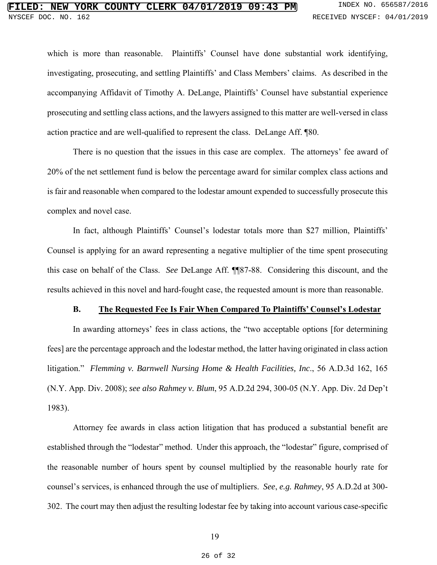which is more than reasonable. Plaintiffs' Counsel have done substantial work identifying, investigating, prosecuting, and settling Plaintiffs' and Class Members' claims. As described in the accompanying Affidavit of Timothy A. DeLange, Plaintiffs' Counsel have substantial experience prosecuting and settling class actions, and the lawyers assigned to this matter are well-versed in class action practice and are well-qualified to represent the class. DeLange Aff. ¶80.

There is no question that the issues in this case are complex. The attorneys' fee award of 20% of the net settlement fund is below the percentage award for similar complex class actions and is fair and reasonable when compared to the lodestar amount expended to successfully prosecute this complex and novel case.

In fact, although Plaintiffs' Counsel's lodestar totals more than \$27 million, Plaintiffs' Counsel is applying for an award representing a negative multiplier of the time spent prosecuting this case on behalf of the Class. *See* DeLange Aff. ¶¶87-88. Considering this discount, and the results achieved in this novel and hard-fought case, the requested amount is more than reasonable.

#### **B. The Requested Fee Is Fair When Compared To Plaintiffs' Counsel's Lodestar**

In awarding attorneys' fees in class actions, the "two acceptable options [for determining fees] are the percentage approach and the lodestar method, the latter having originated in class action litigation." *Flemming v. Barnwell Nursing Home & Health Facilities, Inc*., 56 A.D.3d 162, 165 (N.Y. App. Div. 2008); *see also Rahmey v. Blum*, 95 A.D.2d 294, 300-05 (N.Y. App. Div. 2d Dep't 1983).

Attorney fee awards in class action litigation that has produced a substantial benefit are established through the "lodestar" method. Under this approach, the "lodestar" figure, comprised of the reasonable number of hours spent by counsel multiplied by the reasonable hourly rate for counsel's services, is enhanced through the use of multipliers. *See*, *e.g. Rahmey*, 95 A.D.2d at 300- 302. The court may then adjust the resulting lodestar fee by taking into account various case-specific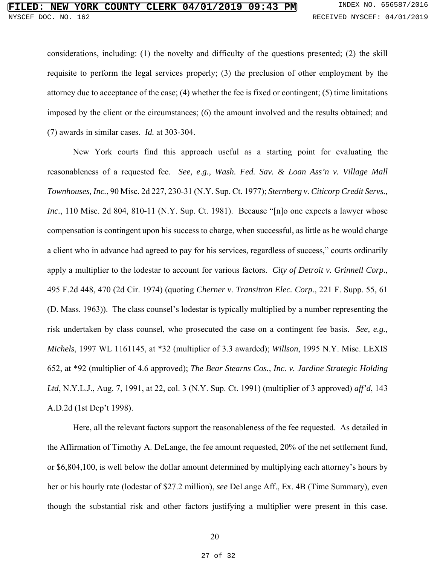considerations, including: (1) the novelty and difficulty of the questions presented; (2) the skill requisite to perform the legal services properly; (3) the preclusion of other employment by the attorney due to acceptance of the case; (4) whether the fee is fixed or contingent; (5) time limitations imposed by the client or the circumstances; (6) the amount involved and the results obtained; and (7) awards in similar cases. *Id.* at 303-304.

New York courts find this approach useful as a starting point for evaluating the reasonableness of a requested fee. *See, e.g., Wash. Fed. Sav. & Loan Ass'n v. Village Mall Townhouses, Inc.*, 90 Misc. 2d 227, 230-31 (N.Y. Sup. Ct. 1977); *Sternberg v. Citicorp Credit Servs., Inc.*, 110 Misc. 2d 804, 810-11 (N.Y. Sup. Ct. 1981). Because "[n]o one expects a lawyer whose compensation is contingent upon his success to charge, when successful, as little as he would charge a client who in advance had agreed to pay for his services, regardless of success," courts ordinarily apply a multiplier to the lodestar to account for various factors. *City of Detroit v. Grinnell Corp.*, 495 F.2d 448, 470 (2d Cir. 1974) (quoting *Cherner v. Transitron Elec. Corp.*, 221 F. Supp. 55, 61 (D. Mass. 1963)). The class counsel's lodestar is typically multiplied by a number representing the risk undertaken by class counsel, who prosecuted the case on a contingent fee basis. *See, e.g., Michels*, 1997 WL 1161145, at \*32 (multiplier of 3.3 awarded); *Willson*, 1995 N.Y. Misc. LEXIS 652, at \*92 (multiplier of 4.6 approved); *The Bear Stearns Cos., Inc. v. Jardine Strategic Holding Ltd*, N.Y.L.J., Aug. 7, 1991, at 22, col. 3 (N.Y. Sup. Ct. 1991) (multiplier of 3 approved) *aff'd*, 143 A.D.2d (1st Dep't 1998).

Here, all the relevant factors support the reasonableness of the fee requested. As detailed in the Affirmation of Timothy A. DeLange, the fee amount requested, 20% of the net settlement fund, or \$6,804,100, is well below the dollar amount determined by multiplying each attorney's hours by her or his hourly rate (lodestar of \$27.2 million), *see* DeLange Aff., Ex. 4B (Time Summary), even though the substantial risk and other factors justifying a multiplier were present in this case.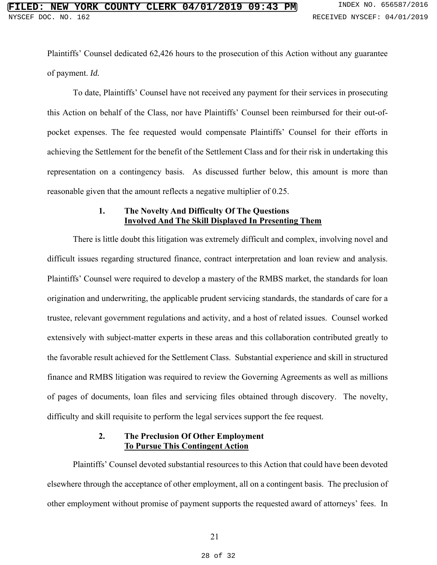Plaintiffs' Counsel dedicated 62,426 hours to the prosecution of this Action without any guarantee of payment. *Id.*

To date, Plaintiffs' Counsel have not received any payment for their services in prosecuting this Action on behalf of the Class, nor have Plaintiffs' Counsel been reimbursed for their out-ofpocket expenses. The fee requested would compensate Plaintiffs' Counsel for their efforts in achieving the Settlement for the benefit of the Settlement Class and for their risk in undertaking this representation on a contingency basis. As discussed further below, this amount is more than reasonable given that the amount reflects a negative multiplier of 0.25.

#### **1. The Novelty And Difficulty Of The Questions Involved And The Skill Displayed In Presenting Them**

There is little doubt this litigation was extremely difficult and complex, involving novel and difficult issues regarding structured finance, contract interpretation and loan review and analysis. Plaintiffs' Counsel were required to develop a mastery of the RMBS market, the standards for loan origination and underwriting, the applicable prudent servicing standards, the standards of care for a trustee, relevant government regulations and activity, and a host of related issues. Counsel worked extensively with subject-matter experts in these areas and this collaboration contributed greatly to the favorable result achieved for the Settlement Class. Substantial experience and skill in structured finance and RMBS litigation was required to review the Governing Agreements as well as millions of pages of documents, loan files and servicing files obtained through discovery. The novelty, difficulty and skill requisite to perform the legal services support the fee request.

#### **2. The Preclusion Of Other Employment To Pursue This Contingent Action**

Plaintiffs' Counsel devoted substantial resources to this Action that could have been devoted elsewhere through the acceptance of other employment, all on a contingent basis. The preclusion of other employment without promise of payment supports the requested award of attorneys' fees. In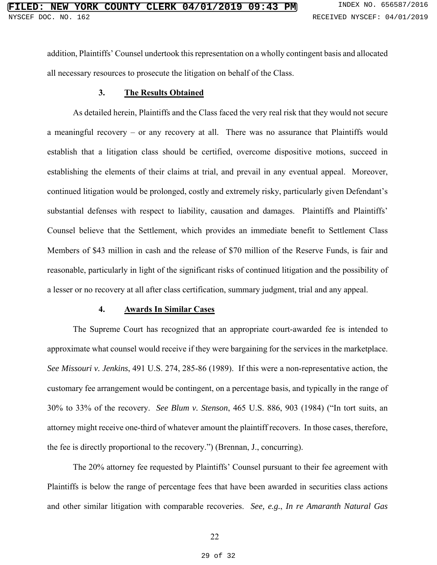addition, Plaintiffs' Counsel undertook this representation on a wholly contingent basis and allocated all necessary resources to prosecute the litigation on behalf of the Class.

#### **3. The Results Obtained**

As detailed herein, Plaintiffs and the Class faced the very real risk that they would not secure a meaningful recovery – or any recovery at all. There was no assurance that Plaintiffs would establish that a litigation class should be certified, overcome dispositive motions, succeed in establishing the elements of their claims at trial, and prevail in any eventual appeal. Moreover, continued litigation would be prolonged, costly and extremely risky, particularly given Defendant's substantial defenses with respect to liability, causation and damages. Plaintiffs and Plaintiffs' Counsel believe that the Settlement, which provides an immediate benefit to Settlement Class Members of \$43 million in cash and the release of \$70 million of the Reserve Funds, is fair and reasonable, particularly in light of the significant risks of continued litigation and the possibility of a lesser or no recovery at all after class certification, summary judgment, trial and any appeal.

#### **4. Awards In Similar Cases**

The Supreme Court has recognized that an appropriate court-awarded fee is intended to approximate what counsel would receive if they were bargaining for the services in the marketplace. *See Missouri v. Jenkins*, 491 U.S. 274, 285-86 (1989). If this were a non-representative action, the customary fee arrangement would be contingent, on a percentage basis, and typically in the range of 30% to 33% of the recovery. *See Blum v. Stenson*, 465 U.S. 886, 903 (1984) ("In tort suits, an attorney might receive one-third of whatever amount the plaintiff recovers. In those cases, therefore, the fee is directly proportional to the recovery.") (Brennan, J., concurring).

The 20% attorney fee requested by Plaintiffs' Counsel pursuant to their fee agreement with Plaintiffs is below the range of percentage fees that have been awarded in securities class actions and other similar litigation with comparable recoveries. *See, e.g.*, *In re Amaranth Natural Gas*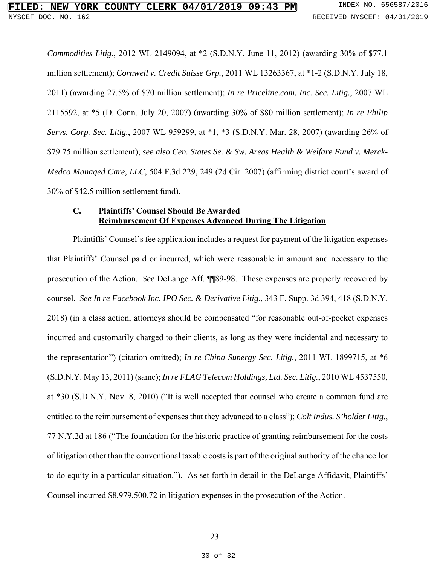*Commodities Litig.*, 2012 WL 2149094, at \*2 (S.D.N.Y. June 11, 2012) (awarding 30% of \$77.1 million settlement); *Cornwell v. Credit Suisse Grp.*, 2011 WL 13263367, at \*1-2 (S.D.N.Y. July 18, 2011) (awarding 27.5% of \$70 million settlement); *In re Priceline.com, Inc. Sec. Litig.*, 2007 WL 2115592, at \*5 (D. Conn. July 20, 2007) (awarding 30% of \$80 million settlement); *In re Philip Servs. Corp. Sec. Litig.*, 2007 WL 959299, at \*1, \*3 (S.D.N.Y. Mar. 28, 2007) (awarding 26% of \$79.75 million settlement); *see also Cen. States Se. & Sw. Areas Health & Welfare Fund v. Merck-Medco Managed Care, LLC*, 504 F.3d 229, 249 (2d Cir. 2007) (affirming district court's award of 30% of \$42.5 million settlement fund).

#### **C. Plaintiffs' Counsel Should Be Awarded Reimbursement Of Expenses Advanced During The Litigation**

Plaintiffs' Counsel's fee application includes a request for payment of the litigation expenses that Plaintiffs' Counsel paid or incurred, which were reasonable in amount and necessary to the prosecution of the Action. *See* DeLange Aff. ¶¶89-98. These expenses are properly recovered by counsel. *See In re Facebook Inc. IPO Sec. & Derivative Litig.*, 343 F. Supp. 3d 394, 418 (S.D.N.Y. 2018) (in a class action, attorneys should be compensated "for reasonable out-of-pocket expenses incurred and customarily charged to their clients, as long as they were incidental and necessary to the representation") (citation omitted); *In re China Sunergy Sec. Litig.*, 2011 WL 1899715, at \*6 (S.D.N.Y. May 13, 2011) (same); *In re FLAG Telecom Holdings, Ltd. Sec. Litig.*, 2010 WL 4537550, at \*30 (S.D.N.Y. Nov. 8, 2010) ("It is well accepted that counsel who create a common fund are entitled to the reimbursement of expenses that they advanced to a class"); *Colt Indus. S'holder Litig.*, 77 N.Y.2d at 186 ("The foundation for the historic practice of granting reimbursement for the costs of litigation other than the conventional taxable costs is part of the original authority of the chancellor to do equity in a particular situation."). As set forth in detail in the DeLange Affidavit, Plaintiffs' Counsel incurred \$8,979,500.72 in litigation expenses in the prosecution of the Action.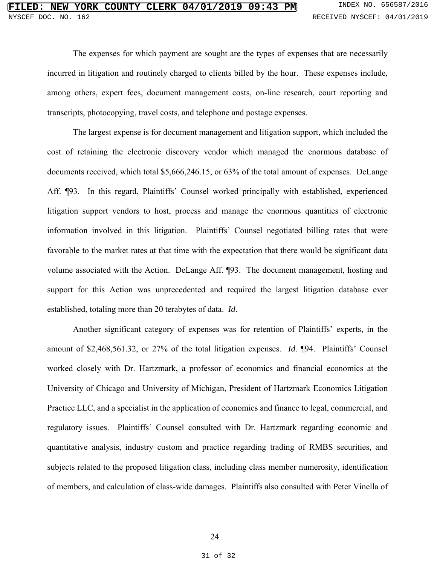The expenses for which payment are sought are the types of expenses that are necessarily incurred in litigation and routinely charged to clients billed by the hour. These expenses include, among others, expert fees, document management costs, on-line research, court reporting and transcripts, photocopying, travel costs, and telephone and postage expenses.

The largest expense is for document management and litigation support, which included the cost of retaining the electronic discovery vendor which managed the enormous database of documents received, which total \$5,666,246.15, or 63% of the total amount of expenses. DeLange Aff. ¶93. In this regard, Plaintiffs' Counsel worked principally with established, experienced litigation support vendors to host, process and manage the enormous quantities of electronic information involved in this litigation. Plaintiffs' Counsel negotiated billing rates that were favorable to the market rates at that time with the expectation that there would be significant data volume associated with the Action. DeLange Aff. ¶93. The document management, hosting and support for this Action was unprecedented and required the largest litigation database ever established, totaling more than 20 terabytes of data. *Id*.

Another significant category of expenses was for retention of Plaintiffs' experts, in the amount of \$2,468,561.32, or 27% of the total litigation expenses. *Id*. ¶94. Plaintiffs' Counsel worked closely with Dr. Hartzmark, a professor of economics and financial economics at the University of Chicago and University of Michigan, President of Hartzmark Economics Litigation Practice LLC, and a specialist in the application of economics and finance to legal, commercial, and regulatory issues. Plaintiffs' Counsel consulted with Dr. Hartzmark regarding economic and quantitative analysis, industry custom and practice regarding trading of RMBS securities, and subjects related to the proposed litigation class, including class member numerosity, identification of members, and calculation of class-wide damages. Plaintiffs also consulted with Peter Vinella of